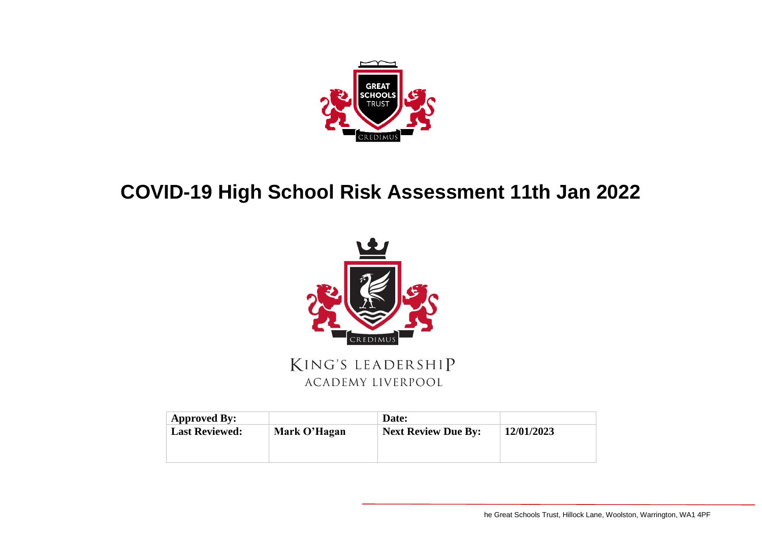

## **COVID-19 High School Risk Assessment 11th Jan 2022**



KING'S LEADERSHIP **ACADEMY LIVERPOOL** 

| <b>Approved By:</b>   |              | Date:                      |            |
|-----------------------|--------------|----------------------------|------------|
| <b>Last Reviewed:</b> | Mark O'Hagan | <b>Next Review Due By:</b> | 12/01/2023 |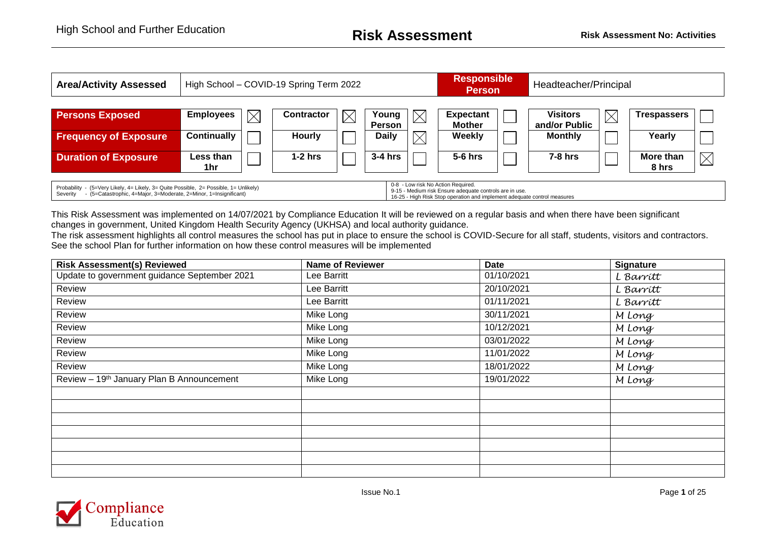| <b>Area/Activity Assessed</b>                                                                                                                                                                                                                                                                                                                       |                    | High School - COVID-19 Spring Term 2022 |                   |             |                        |             |                                   |  | Headteacher/Principal            |             |                    |             |  |
|-----------------------------------------------------------------------------------------------------------------------------------------------------------------------------------------------------------------------------------------------------------------------------------------------------------------------------------------------------|--------------------|-----------------------------------------|-------------------|-------------|------------------------|-------------|-----------------------------------|--|----------------------------------|-------------|--------------------|-------------|--|
| <b>Persons Exposed</b>                                                                                                                                                                                                                                                                                                                              | <b>Employees</b>   | $\boxtimes$                             | <b>Contractor</b> | $\boxtimes$ | Young<br><b>Person</b> |             | <b>Expectant</b><br><b>Mother</b> |  | <b>Visitors</b><br>and/or Public | $\boxtimes$ | <b>Trespassers</b> |             |  |
| <b>Frequency of Exposure</b>                                                                                                                                                                                                                                                                                                                        | <b>Continually</b> |                                         | Hourly            |             | <b>Daily</b>           | $\boxtimes$ | Weekly                            |  | <b>Monthly</b>                   |             | Yearly             |             |  |
| <b>Duration of Exposure</b>                                                                                                                                                                                                                                                                                                                         | Less than<br>1hr.  |                                         | $1-2$ hrs         |             | $3-4$ hrs              |             | $5-6$ hrs                         |  | $7-8$ hrs                        |             | More than<br>8 hrs | $\boxtimes$ |  |
| 0-8 - Low risk No Action Required.<br>Probability - (5=Very Likely, 4= Likely, 3= Quite Possible, 2= Possible, 1= Unlikely)<br>9-15 - Medium risk Ensure adequate controls are in use.<br>- (5=Catastrophic, 4=Major, 3=Moderate, 2=Minor, 1=Insignificant)<br>Severity<br>16-25 - High Risk Stop operation and implement adequate control measures |                    |                                         |                   |             |                        |             |                                   |  |                                  |             |                    |             |  |

This Risk Assessment was implemented on 14/07/2021 by Compliance Education It will be reviewed on a regular basis and when there have been significant changes in government, United Kingdom Health Security Agency (UKHSA) and local authority guidance.

The risk assessment highlights all control measures the school has put in place to ensure the school is COVID-Secure for all staff, students, visitors and contractors. See the school Plan for further information on how these control measures will be implemented

| <b>Risk Assessment(s) Reviewed</b>           | <b>Name of Reviewer</b> | <b>Date</b> | <b>Signature</b> |
|----------------------------------------------|-------------------------|-------------|------------------|
| Update to government guidance September 2021 | Lee Barritt             | 01/10/2021  | L Barrítt        |
| Review                                       | Lee Barritt             | 20/10/2021  | L Barrítt        |
| Review                                       | Lee Barritt             | 01/11/2021  | L Barritt        |
| Review                                       | Mike Long               | 30/11/2021  | M Long           |
| Review                                       | Mike Long               | 10/12/2021  | M Long           |
| Review                                       | Mike Long               | 03/01/2022  | M Long           |
| Review                                       | Mike Long               | 11/01/2022  | M Long           |
| Review                                       | Mike Long               | 18/01/2022  | M Long           |
| Review - 19th January Plan B Announcement    | Mike Long               | 19/01/2022  | M Long           |
|                                              |                         |             |                  |
|                                              |                         |             |                  |
|                                              |                         |             |                  |
|                                              |                         |             |                  |
|                                              |                         |             |                  |
|                                              |                         |             |                  |
|                                              |                         |             |                  |

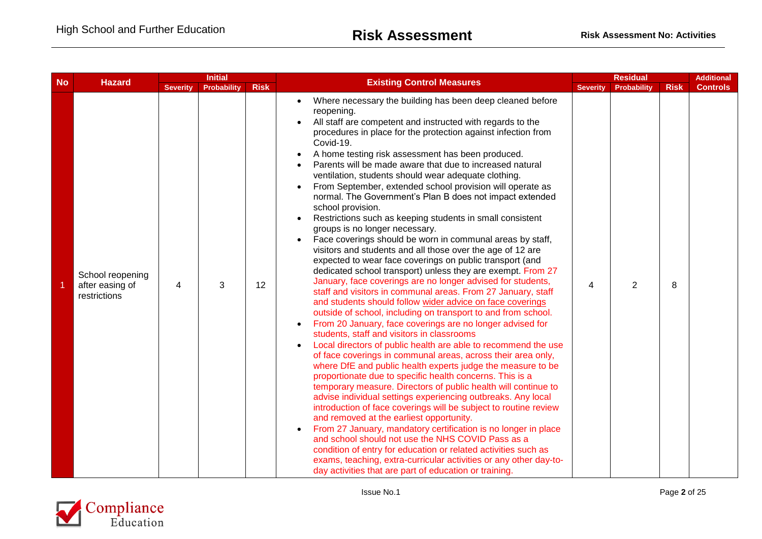| <b>No</b> | <b>Initial</b><br><b>Hazard</b>                     | <b>Existing Control Measures</b> |                    | <b>Residual</b> |                                                                                                                                                                                                                                                                                                                                                                                                                                                                                                                                                                                                                                                                                                                                                                                                                                                                                                                                                                                                                                                                                                                                                                                                                                                                                                                                                                                                                                                                                                                                                                                                                                                                                                                                                                                                                                                                                                                                                                                                                                                                                                                                          |                 |                    |             |                 |
|-----------|-----------------------------------------------------|----------------------------------|--------------------|-----------------|------------------------------------------------------------------------------------------------------------------------------------------------------------------------------------------------------------------------------------------------------------------------------------------------------------------------------------------------------------------------------------------------------------------------------------------------------------------------------------------------------------------------------------------------------------------------------------------------------------------------------------------------------------------------------------------------------------------------------------------------------------------------------------------------------------------------------------------------------------------------------------------------------------------------------------------------------------------------------------------------------------------------------------------------------------------------------------------------------------------------------------------------------------------------------------------------------------------------------------------------------------------------------------------------------------------------------------------------------------------------------------------------------------------------------------------------------------------------------------------------------------------------------------------------------------------------------------------------------------------------------------------------------------------------------------------------------------------------------------------------------------------------------------------------------------------------------------------------------------------------------------------------------------------------------------------------------------------------------------------------------------------------------------------------------------------------------------------------------------------------------------------|-----------------|--------------------|-------------|-----------------|
|           |                                                     | <b>Severity</b>                  | <b>Probability</b> | <b>Risk</b>     |                                                                                                                                                                                                                                                                                                                                                                                                                                                                                                                                                                                                                                                                                                                                                                                                                                                                                                                                                                                                                                                                                                                                                                                                                                                                                                                                                                                                                                                                                                                                                                                                                                                                                                                                                                                                                                                                                                                                                                                                                                                                                                                                          | <b>Severity</b> | <b>Probability</b> | <b>Risk</b> | <b>Controls</b> |
|           | School reopening<br>after easing of<br>restrictions | 4                                | 3                  | 12              | Where necessary the building has been deep cleaned before<br>reopening.<br>All staff are competent and instructed with regards to the<br>procedures in place for the protection against infection from<br>Covid-19.<br>A home testing risk assessment has been produced.<br>Parents will be made aware that due to increased natural<br>ventilation, students should wear adequate clothing.<br>From September, extended school provision will operate as<br>normal. The Government's Plan B does not impact extended<br>school provision.<br>Restrictions such as keeping students in small consistent<br>groups is no longer necessary.<br>Face coverings should be worn in communal areas by staff,<br>visitors and students and all those over the age of 12 are<br>expected to wear face coverings on public transport (and<br>dedicated school transport) unless they are exempt. From 27<br>January, face coverings are no longer advised for students,<br>staff and visitors in communal areas. From 27 January, staff<br>and students should follow wider advice on face coverings<br>outside of school, including on transport to and from school.<br>From 20 January, face coverings are no longer advised for<br>$\bullet$<br>students, staff and visitors in classrooms<br>Local directors of public health are able to recommend the use<br>$\bullet$<br>of face coverings in communal areas, across their area only,<br>where DfE and public health experts judge the measure to be<br>proportionate due to specific health concerns. This is a<br>temporary measure. Directors of public health will continue to<br>advise individual settings experiencing outbreaks. Any local<br>introduction of face coverings will be subject to routine review<br>and removed at the earliest opportunity.<br>From 27 January, mandatory certification is no longer in place<br>and school should not use the NHS COVID Pass as a<br>condition of entry for education or related activities such as<br>exams, teaching, extra-curricular activities or any other day-to-<br>day activities that are part of education or training. | 4               | $\overline{2}$     | 8           |                 |

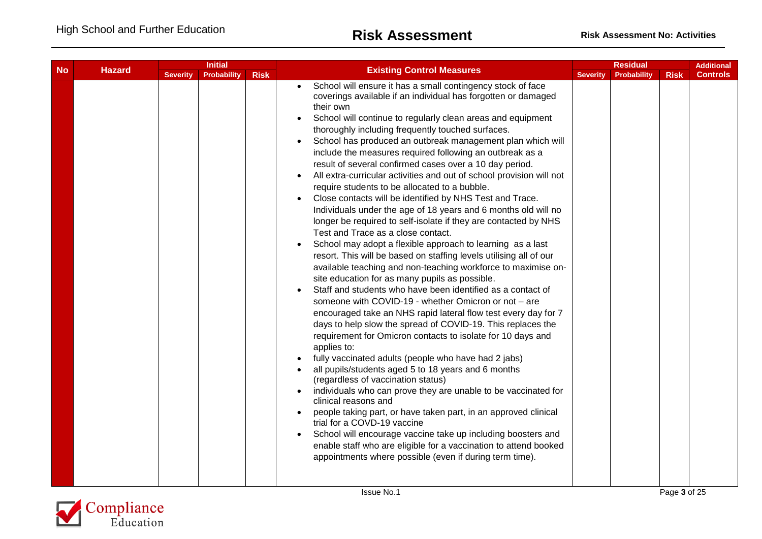|           |  | <b>Initial</b><br><b>Hazard</b> | <b>Existing Control Measures</b> | <b>Residual</b> |                                                                                                                                                                                                                                                                                                                                                                                                                                                                                                                                                                                                                                                                                                                                                                                                                                                                                                                                                                                                                                                                                                                                                                                                                                                                                                                                                                                                                                                                                                                                                                                                                                                                                                                                                                                                                                                                                                                                                                                                        |                 | <b>Additional</b> |             |                 |
|-----------|--|---------------------------------|----------------------------------|-----------------|--------------------------------------------------------------------------------------------------------------------------------------------------------------------------------------------------------------------------------------------------------------------------------------------------------------------------------------------------------------------------------------------------------------------------------------------------------------------------------------------------------------------------------------------------------------------------------------------------------------------------------------------------------------------------------------------------------------------------------------------------------------------------------------------------------------------------------------------------------------------------------------------------------------------------------------------------------------------------------------------------------------------------------------------------------------------------------------------------------------------------------------------------------------------------------------------------------------------------------------------------------------------------------------------------------------------------------------------------------------------------------------------------------------------------------------------------------------------------------------------------------------------------------------------------------------------------------------------------------------------------------------------------------------------------------------------------------------------------------------------------------------------------------------------------------------------------------------------------------------------------------------------------------------------------------------------------------------------------------------------------------|-----------------|-------------------|-------------|-----------------|
| <b>No</b> |  | <b>Severity</b>                 | <b>Probability</b>               | <b>Risk</b>     |                                                                                                                                                                                                                                                                                                                                                                                                                                                                                                                                                                                                                                                                                                                                                                                                                                                                                                                                                                                                                                                                                                                                                                                                                                                                                                                                                                                                                                                                                                                                                                                                                                                                                                                                                                                                                                                                                                                                                                                                        | <b>Severity</b> | Probability       | <b>Risk</b> | <b>Controls</b> |
|           |  |                                 |                                  |                 | School will ensure it has a small contingency stock of face<br>coverings available if an individual has forgotten or damaged<br>their own<br>School will continue to regularly clean areas and equipment<br>$\bullet$<br>thoroughly including frequently touched surfaces.<br>School has produced an outbreak management plan which will<br>$\bullet$<br>include the measures required following an outbreak as a<br>result of several confirmed cases over a 10 day period.<br>All extra-curricular activities and out of school provision will not<br>require students to be allocated to a bubble.<br>Close contacts will be identified by NHS Test and Trace.<br>Individuals under the age of 18 years and 6 months old will no<br>longer be required to self-isolate if they are contacted by NHS<br>Test and Trace as a close contact.<br>School may adopt a flexible approach to learning as a last<br>resort. This will be based on staffing levels utilising all of our<br>available teaching and non-teaching workforce to maximise on-<br>site education for as many pupils as possible.<br>Staff and students who have been identified as a contact of<br>someone with COVID-19 - whether Omicron or not - are<br>encouraged take an NHS rapid lateral flow test every day for 7<br>days to help slow the spread of COVID-19. This replaces the<br>requirement for Omicron contacts to isolate for 10 days and<br>applies to:<br>fully vaccinated adults (people who have had 2 jabs)<br>all pupils/students aged 5 to 18 years and 6 months<br>(regardless of vaccination status)<br>individuals who can prove they are unable to be vaccinated for<br>clinical reasons and<br>people taking part, or have taken part, in an approved clinical<br>trial for a COVD-19 vaccine<br>School will encourage vaccine take up including boosters and<br>$\bullet$<br>enable staff who are eligible for a vaccination to attend booked<br>appointments where possible (even if during term time). |                 |                   |             |                 |

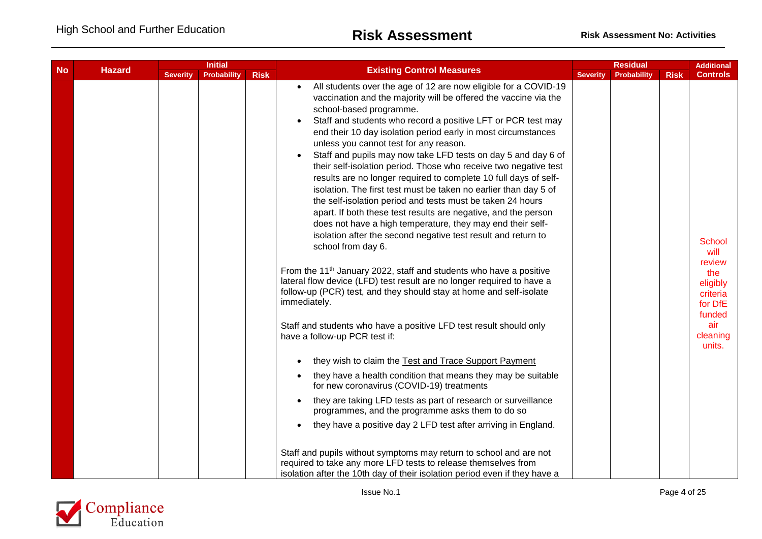|           |  | <b>Initial</b><br><b>Hazard</b> |             | <b>Existing Control Measures</b> |                                                                                                                                                                                                                                                                                                                                                                                                                                                                                                                                                                                                                                                                                                                                                                                                                                                                                                                                                                                                                                                                                                                                                                                                                                                                                                                                                                                                                                                                                                                                                                                                                                                                                                                                                                            |                 | <b>Residual</b> |             | <b>Additional</b>                                                                                         |
|-----------|--|---------------------------------|-------------|----------------------------------|----------------------------------------------------------------------------------------------------------------------------------------------------------------------------------------------------------------------------------------------------------------------------------------------------------------------------------------------------------------------------------------------------------------------------------------------------------------------------------------------------------------------------------------------------------------------------------------------------------------------------------------------------------------------------------------------------------------------------------------------------------------------------------------------------------------------------------------------------------------------------------------------------------------------------------------------------------------------------------------------------------------------------------------------------------------------------------------------------------------------------------------------------------------------------------------------------------------------------------------------------------------------------------------------------------------------------------------------------------------------------------------------------------------------------------------------------------------------------------------------------------------------------------------------------------------------------------------------------------------------------------------------------------------------------------------------------------------------------------------------------------------------------|-----------------|-----------------|-------------|-----------------------------------------------------------------------------------------------------------|
| <b>No</b> |  | <b>Severity</b>                 | Probability | <b>Risk</b>                      |                                                                                                                                                                                                                                                                                                                                                                                                                                                                                                                                                                                                                                                                                                                                                                                                                                                                                                                                                                                                                                                                                                                                                                                                                                                                                                                                                                                                                                                                                                                                                                                                                                                                                                                                                                            | <b>Severity</b> | Probability     | <b>Risk</b> | <b>Controls</b>                                                                                           |
|           |  |                                 |             |                                  | All students over the age of 12 are now eligible for a COVID-19<br>vaccination and the majority will be offered the vaccine via the<br>school-based programme.<br>Staff and students who record a positive LFT or PCR test may<br>end their 10 day isolation period early in most circumstances<br>unless you cannot test for any reason.<br>Staff and pupils may now take LFD tests on day 5 and day 6 of<br>their self-isolation period. Those who receive two negative test<br>results are no longer required to complete 10 full days of self-<br>isolation. The first test must be taken no earlier than day 5 of<br>the self-isolation period and tests must be taken 24 hours<br>apart. If both these test results are negative, and the person<br>does not have a high temperature, they may end their self-<br>isolation after the second negative test result and return to<br>school from day 6.<br>From the 11 <sup>th</sup> January 2022, staff and students who have a positive<br>lateral flow device (LFD) test result are no longer required to have a<br>follow-up (PCR) test, and they should stay at home and self-isolate<br>immediately.<br>Staff and students who have a positive LFD test result should only<br>have a follow-up PCR test if:<br>they wish to claim the Test and Trace Support Payment<br>they have a health condition that means they may be suitable<br>for new coronavirus (COVID-19) treatments<br>they are taking LFD tests as part of research or surveillance<br>programmes, and the programme asks them to do so<br>they have a positive day 2 LFD test after arriving in England.<br>Staff and pupils without symptoms may return to school and are not<br>required to take any more LFD tests to release themselves from |                 |                 |             | School<br>will<br>review<br>the<br>eligibly<br>criteria<br>for DfE<br>funded<br>air<br>cleaning<br>units. |
|           |  |                                 |             |                                  | isolation after the 10th day of their isolation period even if they have a                                                                                                                                                                                                                                                                                                                                                                                                                                                                                                                                                                                                                                                                                                                                                                                                                                                                                                                                                                                                                                                                                                                                                                                                                                                                                                                                                                                                                                                                                                                                                                                                                                                                                                 |                 |                 |             |                                                                                                           |

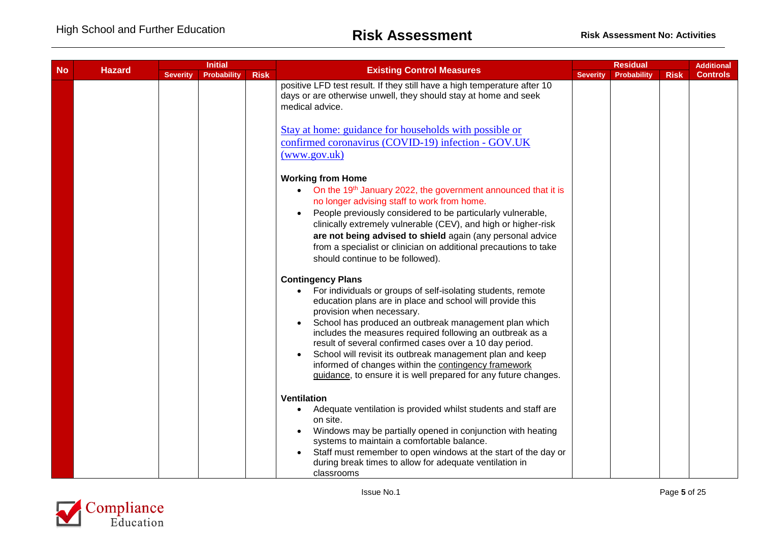| <b>No</b><br><b>Hazard</b> | <b>Initial</b> |                 |                    |             | <b>Residual</b>                                                                                                                                                                                                                                                                                                                                                                                                                                                                                                                                                          |                 |                    | <b>Additional</b> |                 |
|----------------------------|----------------|-----------------|--------------------|-------------|--------------------------------------------------------------------------------------------------------------------------------------------------------------------------------------------------------------------------------------------------------------------------------------------------------------------------------------------------------------------------------------------------------------------------------------------------------------------------------------------------------------------------------------------------------------------------|-----------------|--------------------|-------------------|-----------------|
|                            |                | <b>Severity</b> | <b>Probability</b> | <b>Risk</b> | <b>Existing Control Measures</b>                                                                                                                                                                                                                                                                                                                                                                                                                                                                                                                                         | <b>Severity</b> | <b>Probability</b> | <b>Risk</b>       | <b>Controls</b> |
|                            |                |                 |                    |             | positive LFD test result. If they still have a high temperature after 10<br>days or are otherwise unwell, they should stay at home and seek<br>medical advice.<br>Stay at home: guidance for households with possible or<br>confirmed coronavirus (COVID-19) infection - GOV.UK<br>(www.gov.uk)                                                                                                                                                                                                                                                                          |                 |                    |                   |                 |
|                            |                |                 |                    |             | <b>Working from Home</b><br>On the 19th January 2022, the government announced that it is<br>$\bullet$<br>no longer advising staff to work from home.<br>People previously considered to be particularly vulnerable,<br>clinically extremely vulnerable (CEV), and high or higher-risk<br>are not being advised to shield again (any personal advice<br>from a specialist or clinician on additional precautions to take<br>should continue to be followed).                                                                                                             |                 |                    |                   |                 |
|                            |                |                 |                    |             | <b>Contingency Plans</b><br>For individuals or groups of self-isolating students, remote<br>$\bullet$<br>education plans are in place and school will provide this<br>provision when necessary.<br>School has produced an outbreak management plan which<br>includes the measures required following an outbreak as a<br>result of several confirmed cases over a 10 day period.<br>School will revisit its outbreak management plan and keep<br>informed of changes within the contingency framework<br>guidance, to ensure it is well prepared for any future changes. |                 |                    |                   |                 |
|                            |                |                 |                    |             | <b>Ventilation</b><br>Adequate ventilation is provided whilst students and staff are<br>$\bullet$<br>on site.<br>Windows may be partially opened in conjunction with heating<br>systems to maintain a comfortable balance.<br>Staff must remember to open windows at the start of the day or<br>during break times to allow for adequate ventilation in<br>classrooms                                                                                                                                                                                                    |                 |                    |                   |                 |

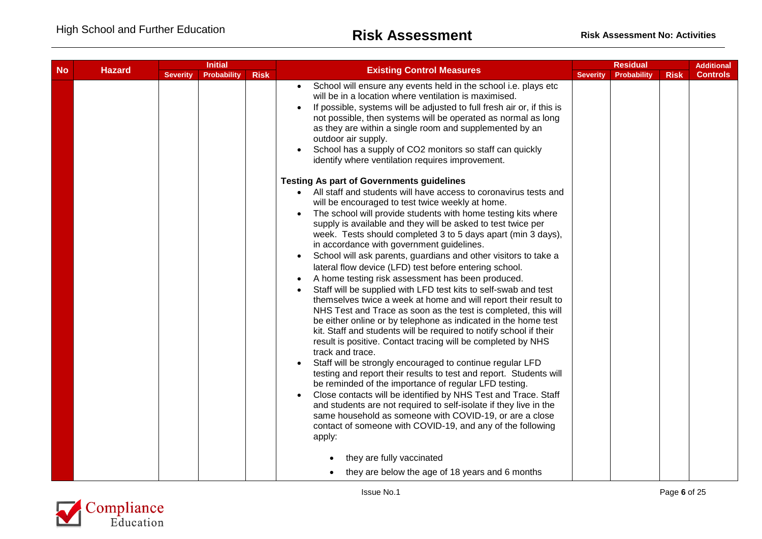| <b>No</b> | <b>Initial</b><br><b>Hazard</b> |                 |                    |             |                                                                                                                                                                                                                                                                                                                                                                                                                                                                                                                                                                                                                                                                                                                                                                                                                                                                                                                                                                                                                                                                                                                                                                                                                                                                                                                                                                                                                        | <b>Residual</b> |             | <b>Additional</b> |                 |
|-----------|---------------------------------|-----------------|--------------------|-------------|------------------------------------------------------------------------------------------------------------------------------------------------------------------------------------------------------------------------------------------------------------------------------------------------------------------------------------------------------------------------------------------------------------------------------------------------------------------------------------------------------------------------------------------------------------------------------------------------------------------------------------------------------------------------------------------------------------------------------------------------------------------------------------------------------------------------------------------------------------------------------------------------------------------------------------------------------------------------------------------------------------------------------------------------------------------------------------------------------------------------------------------------------------------------------------------------------------------------------------------------------------------------------------------------------------------------------------------------------------------------------------------------------------------------|-----------------|-------------|-------------------|-----------------|
|           |                                 | <b>Severity</b> | <b>Probability</b> | <b>Risk</b> | <b>Existing Control Measures</b>                                                                                                                                                                                                                                                                                                                                                                                                                                                                                                                                                                                                                                                                                                                                                                                                                                                                                                                                                                                                                                                                                                                                                                                                                                                                                                                                                                                       | <b>Severity</b> | Probability | <b>Risk</b>       | <b>Controls</b> |
|           |                                 |                 |                    |             | School will ensure any events held in the school i.e. plays etc<br>will be in a location where ventilation is maximised.<br>If possible, systems will be adjusted to full fresh air or, if this is<br>not possible, then systems will be operated as normal as long<br>as they are within a single room and supplemented by an<br>outdoor air supply.<br>School has a supply of CO2 monitors so staff can quickly<br>identify where ventilation requires improvement.<br><b>Testing As part of Governments guidelines</b><br>• All staff and students will have access to coronavirus tests and<br>will be encouraged to test twice weekly at home.                                                                                                                                                                                                                                                                                                                                                                                                                                                                                                                                                                                                                                                                                                                                                                    |                 |             |                   |                 |
|           |                                 |                 |                    |             | The school will provide students with home testing kits where<br>supply is available and they will be asked to test twice per<br>week. Tests should completed 3 to 5 days apart (min 3 days),<br>in accordance with government guidelines.<br>School will ask parents, guardians and other visitors to take a<br>lateral flow device (LFD) test before entering school.<br>A home testing risk assessment has been produced.<br>Staff will be supplied with LFD test kits to self-swab and test<br>themselves twice a week at home and will report their result to<br>NHS Test and Trace as soon as the test is completed, this will<br>be either online or by telephone as indicated in the home test<br>kit. Staff and students will be required to notify school if their<br>result is positive. Contact tracing will be completed by NHS<br>track and trace.<br>Staff will be strongly encouraged to continue regular LFD<br>testing and report their results to test and report. Students will<br>be reminded of the importance of regular LFD testing.<br>Close contacts will be identified by NHS Test and Trace. Staff<br>and students are not required to self-isolate if they live in the<br>same household as someone with COVID-19, or are a close<br>contact of someone with COVID-19, and any of the following<br>apply:<br>they are fully vaccinated<br>they are below the age of 18 years and 6 months |                 |             |                   |                 |

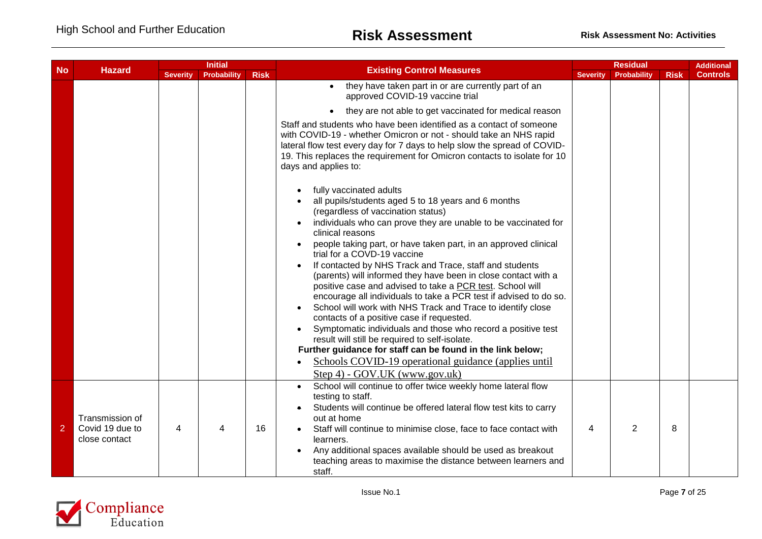| <b>No</b>      |                                                     | <b>Initial</b>  |                    |             |                                                                                                                                                                                                                                                                                                                                                                                                                                                                                                                                                                                                                                                                                                                                                    |                 | <b>Additional</b>  |             |                 |
|----------------|-----------------------------------------------------|-----------------|--------------------|-------------|----------------------------------------------------------------------------------------------------------------------------------------------------------------------------------------------------------------------------------------------------------------------------------------------------------------------------------------------------------------------------------------------------------------------------------------------------------------------------------------------------------------------------------------------------------------------------------------------------------------------------------------------------------------------------------------------------------------------------------------------------|-----------------|--------------------|-------------|-----------------|
|                | <b>Hazard</b>                                       | <b>Severity</b> | <b>Probability</b> | <b>Risk</b> | <b>Existing Control Measures</b>                                                                                                                                                                                                                                                                                                                                                                                                                                                                                                                                                                                                                                                                                                                   | <b>Severity</b> | <b>Probability</b> | <b>Risk</b> | <b>Controls</b> |
|                |                                                     |                 |                    |             | they have taken part in or are currently part of an<br>$\bullet$<br>approved COVID-19 vaccine trial                                                                                                                                                                                                                                                                                                                                                                                                                                                                                                                                                                                                                                                |                 |                    |             |                 |
|                |                                                     |                 |                    |             | they are not able to get vaccinated for medical reason<br>$\bullet$                                                                                                                                                                                                                                                                                                                                                                                                                                                                                                                                                                                                                                                                                |                 |                    |             |                 |
|                |                                                     |                 |                    |             | Staff and students who have been identified as a contact of someone<br>with COVID-19 - whether Omicron or not - should take an NHS rapid<br>lateral flow test every day for 7 days to help slow the spread of COVID-<br>19. This replaces the requirement for Omicron contacts to isolate for 10<br>days and applies to:                                                                                                                                                                                                                                                                                                                                                                                                                           |                 |                    |             |                 |
|                |                                                     |                 |                    |             | fully vaccinated adults<br>all pupils/students aged 5 to 18 years and 6 months<br>(regardless of vaccination status)<br>individuals who can prove they are unable to be vaccinated for<br>clinical reasons                                                                                                                                                                                                                                                                                                                                                                                                                                                                                                                                         |                 |                    |             |                 |
|                |                                                     |                 |                    |             | people taking part, or have taken part, in an approved clinical<br>trial for a COVD-19 vaccine<br>If contacted by NHS Track and Trace, staff and students<br>(parents) will informed they have been in close contact with a<br>positive case and advised to take a PCR test. School will<br>encourage all individuals to take a PCR test if advised to do so.<br>School will work with NHS Track and Trace to identify close<br>contacts of a positive case if requested.<br>Symptomatic individuals and those who record a positive test<br>result will still be required to self-isolate.<br>Further guidance for staff can be found in the link below;<br>Schools COVID-19 operational guidance (applies until<br>Step 4) - GOV.UK (www.gov.uk) |                 |                    |             |                 |
| $\overline{2}$ | Transmission of<br>Covid 19 due to<br>close contact | 4               | 4                  | 16          | School will continue to offer twice weekly home lateral flow<br>$\bullet$<br>testing to staff.<br>Students will continue be offered lateral flow test kits to carry<br>out at home<br>Staff will continue to minimise close, face to face contact with<br>$\bullet$<br>learners.<br>Any additional spaces available should be used as breakout<br>teaching areas to maximise the distance between learners and<br>staff.                                                                                                                                                                                                                                                                                                                           | 4               | 2                  | 8           |                 |

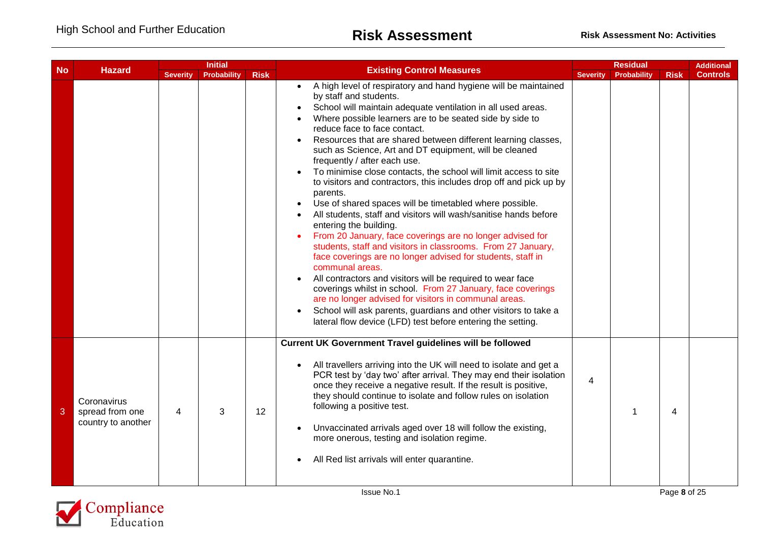| <b>No</b> |                                                      | <b>Initial</b>  |                    |             |                                                                                                                                                                                                                                                                                                                                                                                                                                                                                                                                                                                                                                                                                                                                                                                                                                                                                                                                                                                                                                                                                                                                                                                                                                                                                     | <b>Residual</b> |             |             | <b>Additional</b> |
|-----------|------------------------------------------------------|-----------------|--------------------|-------------|-------------------------------------------------------------------------------------------------------------------------------------------------------------------------------------------------------------------------------------------------------------------------------------------------------------------------------------------------------------------------------------------------------------------------------------------------------------------------------------------------------------------------------------------------------------------------------------------------------------------------------------------------------------------------------------------------------------------------------------------------------------------------------------------------------------------------------------------------------------------------------------------------------------------------------------------------------------------------------------------------------------------------------------------------------------------------------------------------------------------------------------------------------------------------------------------------------------------------------------------------------------------------------------|-----------------|-------------|-------------|-------------------|
|           | <b>Hazard</b>                                        | <b>Severity</b> | <b>Probability</b> | <b>Risk</b> | <b>Existing Control Measures</b>                                                                                                                                                                                                                                                                                                                                                                                                                                                                                                                                                                                                                                                                                                                                                                                                                                                                                                                                                                                                                                                                                                                                                                                                                                                    | <b>Severity</b> | Probability | <b>Risk</b> | <b>Controls</b>   |
|           |                                                      |                 |                    |             | A high level of respiratory and hand hygiene will be maintained<br>by staff and students.<br>School will maintain adequate ventilation in all used areas.<br>$\bullet$<br>Where possible learners are to be seated side by side to<br>reduce face to face contact.<br>Resources that are shared between different learning classes,<br>such as Science, Art and DT equipment, will be cleaned<br>frequently / after each use.<br>To minimise close contacts, the school will limit access to site<br>to visitors and contractors, this includes drop off and pick up by<br>parents.<br>Use of shared spaces will be timetabled where possible.<br>All students, staff and visitors will wash/sanitise hands before<br>entering the building.<br>From 20 January, face coverings are no longer advised for<br>students, staff and visitors in classrooms. From 27 January,<br>face coverings are no longer advised for students, staff in<br>communal areas.<br>All contractors and visitors will be required to wear face<br>coverings whilst in school. From 27 January, face coverings<br>are no longer advised for visitors in communal areas.<br>School will ask parents, guardians and other visitors to take a<br>lateral flow device (LFD) test before entering the setting. |                 |             |             |                   |
| 3         | Coronavirus<br>spread from one<br>country to another | 4               | 3                  | 12          | <b>Current UK Government Travel guidelines will be followed</b><br>All travellers arriving into the UK will need to isolate and get a<br>PCR test by 'day two' after arrival. They may end their isolation<br>once they receive a negative result. If the result is positive,<br>they should continue to isolate and follow rules on isolation<br>following a positive test.<br>Unvaccinated arrivals aged over 18 will follow the existing,<br>more onerous, testing and isolation regime.<br>All Red list arrivals will enter quarantine.                                                                                                                                                                                                                                                                                                                                                                                                                                                                                                                                                                                                                                                                                                                                         | 4               |             | 4           |                   |

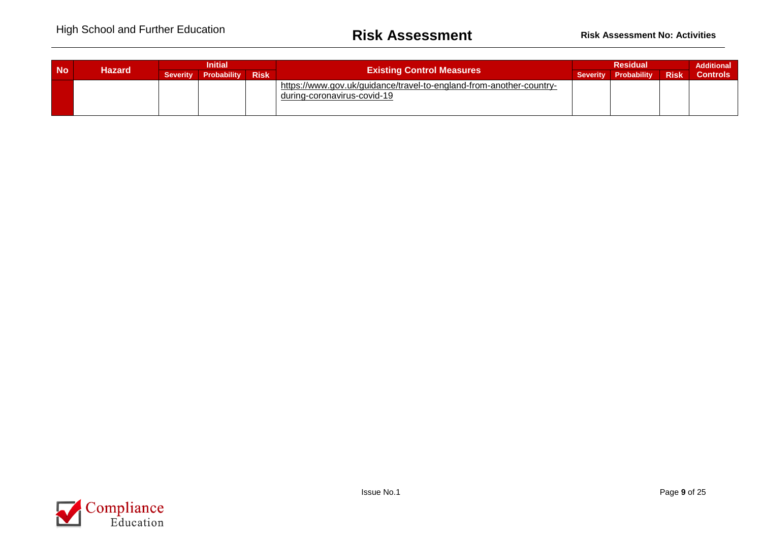| <b>No</b> | Hazard | <b>Initial</b>  |                    |             | <b>Existing Control Measures</b>                                                                   |                 | <b>Additional</b> |             |                 |
|-----------|--------|-----------------|--------------------|-------------|----------------------------------------------------------------------------------------------------|-----------------|-------------------|-------------|-----------------|
|           |        | <b>Severity</b> | <b>Probability</b> | <b>Risk</b> |                                                                                                    | <b>Severity</b> | Probability       | <b>Risk</b> | <b>Controls</b> |
|           |        |                 |                    |             | https://www.gov.uk/guidance/travel-to-england-from-another-country-<br>during-coronavirus-covid-19 |                 |                   |             |                 |

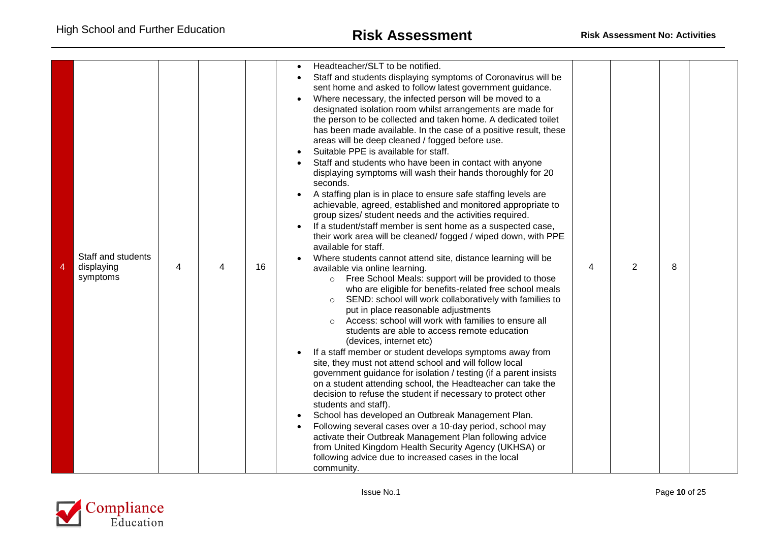| 4 | Staff and students<br>displaying<br>symptoms | 4 | 4 | 16 | Headteacher/SLT to be notified.<br>Staff and students displaying symptoms of Coronavirus will be<br>sent home and asked to follow latest government guidance.<br>Where necessary, the infected person will be moved to a<br>designated isolation room whilst arrangements are made for<br>the person to be collected and taken home. A dedicated toilet<br>has been made available. In the case of a positive result, these<br>areas will be deep cleaned / fogged before use.<br>Suitable PPE is available for staff.<br>Staff and students who have been in contact with anyone<br>displaying symptoms will wash their hands thoroughly for 20<br>seconds.<br>A staffing plan is in place to ensure safe staffing levels are<br>achievable, agreed, established and monitored appropriate to<br>group sizes/ student needs and the activities required.<br>If a student/staff member is sent home as a suspected case,<br>their work area will be cleaned/fogged / wiped down, with PPE<br>available for staff.<br>Where students cannot attend site, distance learning will be<br>4<br>$\overline{2}$<br>8<br>available via online learning.<br>o Free School Meals: support will be provided to those<br>who are eligible for benefits-related free school meals<br>SEND: school will work collaboratively with families to<br>$\circ$<br>put in place reasonable adjustments<br>Access: school will work with families to ensure all<br>$\circ$<br>students are able to access remote education<br>(devices, internet etc)<br>If a staff member or student develops symptoms away from<br>site, they must not attend school and will follow local<br>government guidance for isolation / testing (if a parent insists<br>on a student attending school, the Headteacher can take the<br>decision to refuse the student if necessary to protect other<br>students and staff).<br>School has developed an Outbreak Management Plan.<br>Following several cases over a 10-day period, school may<br>activate their Outbreak Management Plan following advice<br>from United Kingdom Health Security Agency (UKHSA) or<br>following advice due to increased cases in the local<br>community. |  |
|---|----------------------------------------------|---|---|----|-----------------------------------------------------------------------------------------------------------------------------------------------------------------------------------------------------------------------------------------------------------------------------------------------------------------------------------------------------------------------------------------------------------------------------------------------------------------------------------------------------------------------------------------------------------------------------------------------------------------------------------------------------------------------------------------------------------------------------------------------------------------------------------------------------------------------------------------------------------------------------------------------------------------------------------------------------------------------------------------------------------------------------------------------------------------------------------------------------------------------------------------------------------------------------------------------------------------------------------------------------------------------------------------------------------------------------------------------------------------------------------------------------------------------------------------------------------------------------------------------------------------------------------------------------------------------------------------------------------------------------------------------------------------------------------------------------------------------------------------------------------------------------------------------------------------------------------------------------------------------------------------------------------------------------------------------------------------------------------------------------------------------------------------------------------------------------------------------------------------------------------------------------------------------------------------------|--|

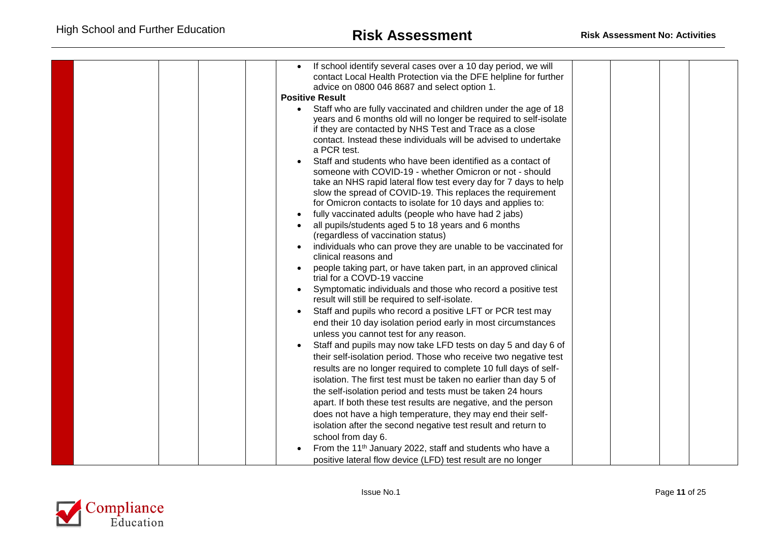|  | If school identify several cases over a 10 day period, we will<br>contact Local Health Protection via the DFE helpline for further<br>advice on 0800 046 8687 and select option 1.<br><b>Positive Result</b><br>Staff who are fully vaccinated and children under the age of 18<br>$\bullet$<br>years and 6 months old will no longer be required to self-isolate<br>if they are contacted by NHS Test and Trace as a close<br>contact. Instead these individuals will be advised to undertake<br>a PCR test.<br>Staff and students who have been identified as a contact of<br>someone with COVID-19 - whether Omicron or not - should<br>take an NHS rapid lateral flow test every day for 7 days to help<br>slow the spread of COVID-19. This replaces the requirement<br>for Omicron contacts to isolate for 10 days and applies to:<br>fully vaccinated adults (people who have had 2 jabs)<br>all pupils/students aged 5 to 18 years and 6 months<br>(regardless of vaccination status)<br>individuals who can prove they are unable to be vaccinated for<br>clinical reasons and<br>people taking part, or have taken part, in an approved clinical<br>trial for a COVD-19 vaccine<br>Symptomatic individuals and those who record a positive test<br>result will still be required to self-isolate.<br>Staff and pupils who record a positive LFT or PCR test may<br>end their 10 day isolation period early in most circumstances<br>unless you cannot test for any reason.<br>Staff and pupils may now take LFD tests on day 5 and day 6 of<br>their self-isolation period. Those who receive two negative test<br>results are no longer required to complete 10 full days of self-<br>isolation. The first test must be taken no earlier than day 5 of<br>the self-isolation period and tests must be taken 24 hours<br>apart. If both these test results are negative, and the person<br>does not have a high temperature, they may end their self-<br>isolation after the second negative test result and return to |  |
|--|----------------------------------------------------------------------------------------------------------------------------------------------------------------------------------------------------------------------------------------------------------------------------------------------------------------------------------------------------------------------------------------------------------------------------------------------------------------------------------------------------------------------------------------------------------------------------------------------------------------------------------------------------------------------------------------------------------------------------------------------------------------------------------------------------------------------------------------------------------------------------------------------------------------------------------------------------------------------------------------------------------------------------------------------------------------------------------------------------------------------------------------------------------------------------------------------------------------------------------------------------------------------------------------------------------------------------------------------------------------------------------------------------------------------------------------------------------------------------------------------------------------------------------------------------------------------------------------------------------------------------------------------------------------------------------------------------------------------------------------------------------------------------------------------------------------------------------------------------------------------------------------------------------------------------------------------------------------------------------------------------------------------------------|--|
|  | school from day 6.                                                                                                                                                                                                                                                                                                                                                                                                                                                                                                                                                                                                                                                                                                                                                                                                                                                                                                                                                                                                                                                                                                                                                                                                                                                                                                                                                                                                                                                                                                                                                                                                                                                                                                                                                                                                                                                                                                                                                                                                               |  |
|  | From the 11 <sup>th</sup> January 2022, staff and students who have a                                                                                                                                                                                                                                                                                                                                                                                                                                                                                                                                                                                                                                                                                                                                                                                                                                                                                                                                                                                                                                                                                                                                                                                                                                                                                                                                                                                                                                                                                                                                                                                                                                                                                                                                                                                                                                                                                                                                                            |  |
|  | positive lateral flow device (LFD) test result are no longer                                                                                                                                                                                                                                                                                                                                                                                                                                                                                                                                                                                                                                                                                                                                                                                                                                                                                                                                                                                                                                                                                                                                                                                                                                                                                                                                                                                                                                                                                                                                                                                                                                                                                                                                                                                                                                                                                                                                                                     |  |

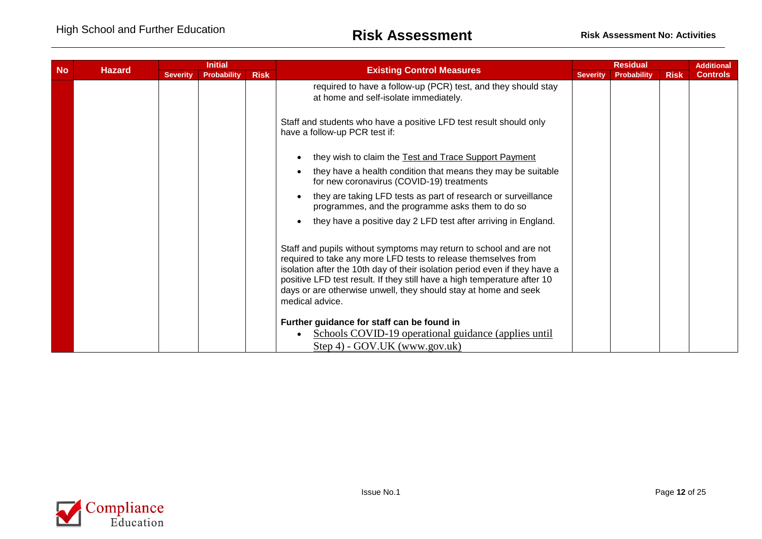| <b>No</b> | <b>Initial</b><br><b>Hazard</b> |                 |                    | <b>Existing Control Measures</b> | <b>Residual</b>                                                                                                                                                                                                                                                                                                                                                                      |                 |             | <b>Additional</b> |                 |
|-----------|---------------------------------|-----------------|--------------------|----------------------------------|--------------------------------------------------------------------------------------------------------------------------------------------------------------------------------------------------------------------------------------------------------------------------------------------------------------------------------------------------------------------------------------|-----------------|-------------|-------------------|-----------------|
|           |                                 | <b>Severity</b> | <b>Probability</b> | <b>Risk</b>                      |                                                                                                                                                                                                                                                                                                                                                                                      | <b>Severity</b> | Probability | <b>Risk</b>       | <b>Controls</b> |
|           |                                 |                 |                    |                                  | required to have a follow-up (PCR) test, and they should stay<br>at home and self-isolate immediately.                                                                                                                                                                                                                                                                               |                 |             |                   |                 |
|           |                                 |                 |                    |                                  | Staff and students who have a positive LFD test result should only<br>have a follow-up PCR test if:                                                                                                                                                                                                                                                                                  |                 |             |                   |                 |
|           |                                 |                 |                    |                                  | they wish to claim the Test and Trace Support Payment                                                                                                                                                                                                                                                                                                                                |                 |             |                   |                 |
|           |                                 |                 |                    |                                  | they have a health condition that means they may be suitable<br>for new coronavirus (COVID-19) treatments                                                                                                                                                                                                                                                                            |                 |             |                   |                 |
|           |                                 |                 |                    |                                  | they are taking LFD tests as part of research or surveillance<br>programmes, and the programme asks them to do so                                                                                                                                                                                                                                                                    |                 |             |                   |                 |
|           |                                 |                 |                    |                                  | they have a positive day 2 LFD test after arriving in England.                                                                                                                                                                                                                                                                                                                       |                 |             |                   |                 |
|           |                                 |                 |                    |                                  | Staff and pupils without symptoms may return to school and are not<br>required to take any more LFD tests to release themselves from<br>isolation after the 10th day of their isolation period even if they have a<br>positive LFD test result. If they still have a high temperature after 10<br>days or are otherwise unwell, they should stay at home and seek<br>medical advice. |                 |             |                   |                 |
|           |                                 |                 |                    |                                  | Further guidance for staff can be found in<br>Schools COVID-19 operational guidance (applies until<br>Step 4) - GOV.UK (www.gov.uk)                                                                                                                                                                                                                                                  |                 |             |                   |                 |

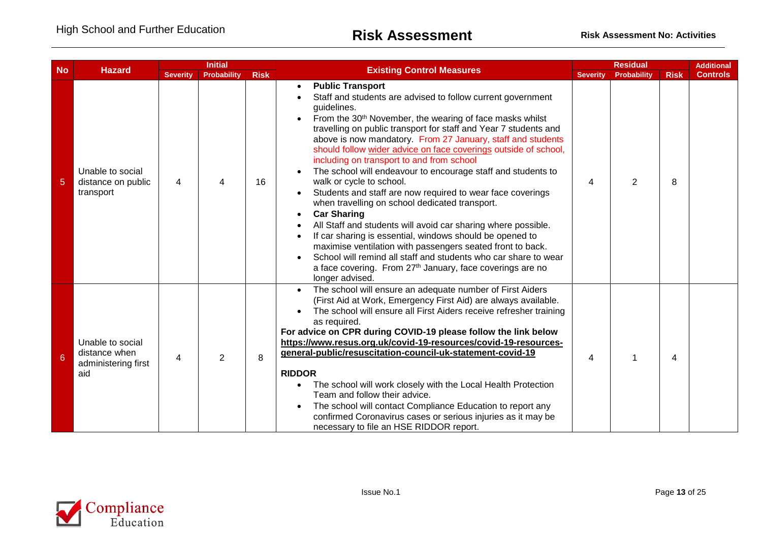|                |                                                                 |                 | <b>Initial</b>     |             |                                                                                                                                                                                                                                                                                                                                                                                                                                                                                                                                                                                                                                                                                                                                                                                                                                                                                                                                                                                                                                                        |                 | <b>Residual</b> |             | <b>Additional</b> |
|----------------|-----------------------------------------------------------------|-----------------|--------------------|-------------|--------------------------------------------------------------------------------------------------------------------------------------------------------------------------------------------------------------------------------------------------------------------------------------------------------------------------------------------------------------------------------------------------------------------------------------------------------------------------------------------------------------------------------------------------------------------------------------------------------------------------------------------------------------------------------------------------------------------------------------------------------------------------------------------------------------------------------------------------------------------------------------------------------------------------------------------------------------------------------------------------------------------------------------------------------|-----------------|-----------------|-------------|-------------------|
| <b>No</b>      | <b>Hazard</b>                                                   | <b>Severity</b> | <b>Probability</b> | <b>Risk</b> | <b>Existing Control Measures</b>                                                                                                                                                                                                                                                                                                                                                                                                                                                                                                                                                                                                                                                                                                                                                                                                                                                                                                                                                                                                                       | <b>Severity</b> | Probability     | <b>Risk</b> | <b>Controls</b>   |
| $\overline{5}$ | Unable to social<br>distance on public<br>transport             | 4               | 4                  | 16          | <b>Public Transport</b><br>$\bullet$<br>Staff and students are advised to follow current government<br>guidelines.<br>From the 30 <sup>th</sup> November, the wearing of face masks whilst<br>travelling on public transport for staff and Year 7 students and<br>above is now mandatory. From 27 January, staff and students<br>should follow wider advice on face coverings outside of school,<br>including on transport to and from school<br>The school will endeavour to encourage staff and students to<br>walk or cycle to school.<br>Students and staff are now required to wear face coverings<br>when travelling on school dedicated transport.<br><b>Car Sharing</b><br>$\bullet$<br>All Staff and students will avoid car sharing where possible.<br>If car sharing is essential, windows should be opened to<br>maximise ventilation with passengers seated front to back.<br>School will remind all staff and students who car share to wear<br>a face covering. From 27 <sup>th</sup> January, face coverings are no<br>longer advised. | 4               | $\overline{2}$  | 8           |                   |
| 6              | Unable to social<br>distance when<br>administering first<br>aid | 4               | $\overline{2}$     | 8           | The school will ensure an adequate number of First Aiders<br>(First Aid at Work, Emergency First Aid) are always available.<br>The school will ensure all First Aiders receive refresher training<br>as required.<br>For advice on CPR during COVID-19 please follow the link below<br>https://www.resus.org.uk/covid-19-resources/covid-19-resources-<br>general-public/resuscitation-council-uk-statement-covid-19<br><b>RIDDOR</b><br>The school will work closely with the Local Health Protection<br>Team and follow their advice.<br>The school will contact Compliance Education to report any<br>confirmed Coronavirus cases or serious injuries as it may be<br>necessary to file an HSE RIDDOR report.                                                                                                                                                                                                                                                                                                                                       | 4               |                 | 4           |                   |

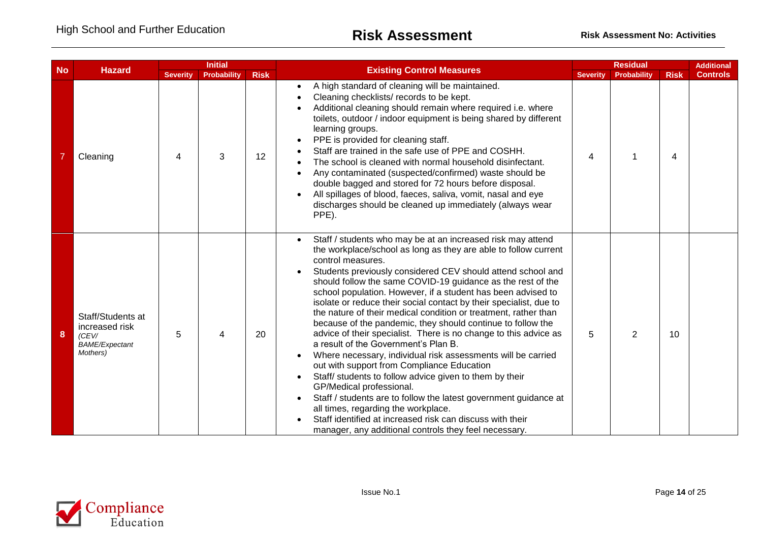| <b>No</b> |                                                                                   | <b>Initial</b>  |                    |             |                                                                                                                                                                                                                                                                                                                                                                                                                                                                                                                                                                                                                                                                                                                                                                                                                                                                                                                                                                                                                                                                                                             |                 | <b>Residual</b> |             |                 |
|-----------|-----------------------------------------------------------------------------------|-----------------|--------------------|-------------|-------------------------------------------------------------------------------------------------------------------------------------------------------------------------------------------------------------------------------------------------------------------------------------------------------------------------------------------------------------------------------------------------------------------------------------------------------------------------------------------------------------------------------------------------------------------------------------------------------------------------------------------------------------------------------------------------------------------------------------------------------------------------------------------------------------------------------------------------------------------------------------------------------------------------------------------------------------------------------------------------------------------------------------------------------------------------------------------------------------|-----------------|-----------------|-------------|-----------------|
|           | <b>Hazard</b>                                                                     | <b>Severity</b> | <b>Probability</b> | <b>Risk</b> | <b>Existing Control Measures</b>                                                                                                                                                                                                                                                                                                                                                                                                                                                                                                                                                                                                                                                                                                                                                                                                                                                                                                                                                                                                                                                                            | <b>Severity</b> | Probability     | <b>Risk</b> | <b>Controls</b> |
|           | Cleaning                                                                          | 4               | 3                  | 12          | A high standard of cleaning will be maintained.<br>$\bullet$<br>Cleaning checklists/ records to be kept.<br>Additional cleaning should remain where required i.e. where<br>toilets, outdoor / indoor equipment is being shared by different<br>learning groups.<br>PPE is provided for cleaning staff.<br>Staff are trained in the safe use of PPE and COSHH.<br>The school is cleaned with normal household disinfectant.<br>Any contaminated (suspected/confirmed) waste should be<br>double bagged and stored for 72 hours before disposal.<br>All spillages of blood, faeces, saliva, vomit, nasal and eye<br>discharges should be cleaned up immediately (always wear<br>PPE).                                                                                                                                                                                                                                                                                                                                                                                                                         | 4               |                 | 4           |                 |
| 8         | Staff/Students at<br>increased risk<br>(CEV/<br><b>BAME/Expectant</b><br>Mothers) | 5               | 4                  | 20          | Staff / students who may be at an increased risk may attend<br>the workplace/school as long as they are able to follow current<br>control measures.<br>Students previously considered CEV should attend school and<br>should follow the same COVID-19 guidance as the rest of the<br>school population. However, if a student has been advised to<br>isolate or reduce their social contact by their specialist, due to<br>the nature of their medical condition or treatment, rather than<br>because of the pandemic, they should continue to follow the<br>advice of their specialist. There is no change to this advice as<br>a result of the Government's Plan B.<br>Where necessary, individual risk assessments will be carried<br>out with support from Compliance Education<br>Staff/ students to follow advice given to them by their<br>GP/Medical professional.<br>Staff / students are to follow the latest government guidance at<br>all times, regarding the workplace.<br>Staff identified at increased risk can discuss with their<br>manager, any additional controls they feel necessary. | 5               | $\overline{2}$  | 10          |                 |

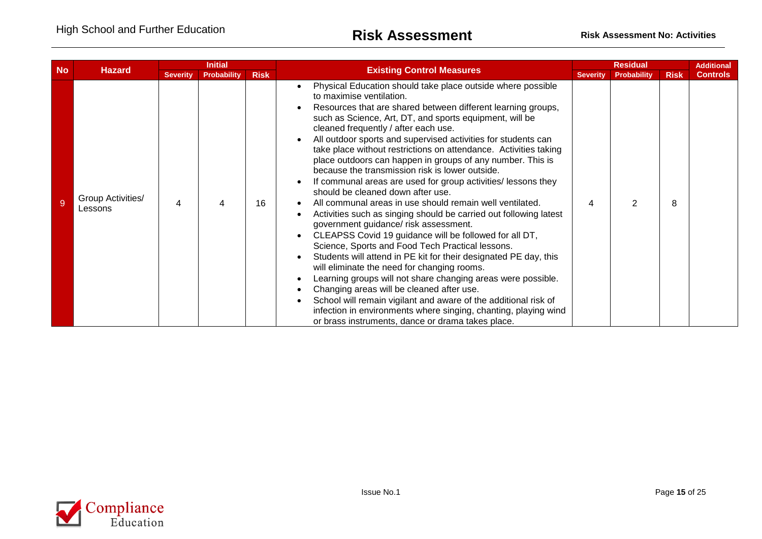| <b>No</b> | <b>Hazard</b>                |                 | <b>Initial</b>     |             | <b>Existing Control Measures</b>                                                                                                                                                                                                                                                                                                                                                                                                                                                                                                                                                                                                                                                                                                                                                                                                                                                                                                                                                                                                                                                                                                                                                                                                                                                                                                          |                 | <b>Residual</b>    |             | <b>Additional</b> |
|-----------|------------------------------|-----------------|--------------------|-------------|-------------------------------------------------------------------------------------------------------------------------------------------------------------------------------------------------------------------------------------------------------------------------------------------------------------------------------------------------------------------------------------------------------------------------------------------------------------------------------------------------------------------------------------------------------------------------------------------------------------------------------------------------------------------------------------------------------------------------------------------------------------------------------------------------------------------------------------------------------------------------------------------------------------------------------------------------------------------------------------------------------------------------------------------------------------------------------------------------------------------------------------------------------------------------------------------------------------------------------------------------------------------------------------------------------------------------------------------|-----------------|--------------------|-------------|-------------------|
|           |                              | <b>Severity</b> | <b>Probability</b> | <b>Risk</b> |                                                                                                                                                                                                                                                                                                                                                                                                                                                                                                                                                                                                                                                                                                                                                                                                                                                                                                                                                                                                                                                                                                                                                                                                                                                                                                                                           | <b>Severity</b> | <b>Probability</b> | <b>Risk</b> | <b>Controls</b>   |
|           | Group Activities/<br>Lessons |                 | 4                  | 16          | Physical Education should take place outside where possible<br>to maximise ventilation.<br>Resources that are shared between different learning groups,<br>such as Science, Art, DT, and sports equipment, will be<br>cleaned frequently / after each use.<br>All outdoor sports and supervised activities for students can<br>take place without restrictions on attendance. Activities taking<br>place outdoors can happen in groups of any number. This is<br>because the transmission risk is lower outside.<br>If communal areas are used for group activities/ lessons they<br>should be cleaned down after use.<br>All communal areas in use should remain well ventilated.<br>Activities such as singing should be carried out following latest<br>government guidance/ risk assessment.<br>CLEAPSS Covid 19 guidance will be followed for all DT,<br>Science, Sports and Food Tech Practical lessons.<br>Students will attend in PE kit for their designated PE day, this<br>will eliminate the need for changing rooms.<br>Learning groups will not share changing areas were possible.<br>Changing areas will be cleaned after use.<br>School will remain vigilant and aware of the additional risk of<br>infection in environments where singing, chanting, playing wind<br>or brass instruments, dance or drama takes place. |                 |                    | 8           |                   |

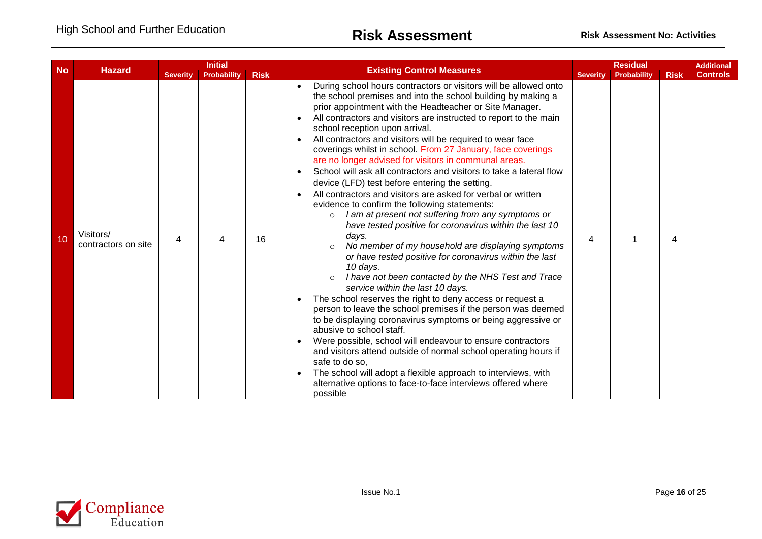| <b>No</b> |                                  |                 | <b>Initial</b>     |             |                                                                                                                                                                                                                                                                                                                                                                                                                                                                                                                                                                                                                                                                                                                                                                                                                                                                                                                                                                                                                                                                                                                                                                                                                                                                                                                                                                                                                                                                                                                                                                                                                                                | <b>Residual</b> |             |             | <b>Additional</b> |
|-----------|----------------------------------|-----------------|--------------------|-------------|------------------------------------------------------------------------------------------------------------------------------------------------------------------------------------------------------------------------------------------------------------------------------------------------------------------------------------------------------------------------------------------------------------------------------------------------------------------------------------------------------------------------------------------------------------------------------------------------------------------------------------------------------------------------------------------------------------------------------------------------------------------------------------------------------------------------------------------------------------------------------------------------------------------------------------------------------------------------------------------------------------------------------------------------------------------------------------------------------------------------------------------------------------------------------------------------------------------------------------------------------------------------------------------------------------------------------------------------------------------------------------------------------------------------------------------------------------------------------------------------------------------------------------------------------------------------------------------------------------------------------------------------|-----------------|-------------|-------------|-------------------|
|           | <b>Hazard</b>                    | <b>Severity</b> | <b>Probability</b> | <b>Risk</b> | <b>Existing Control Measures</b>                                                                                                                                                                                                                                                                                                                                                                                                                                                                                                                                                                                                                                                                                                                                                                                                                                                                                                                                                                                                                                                                                                                                                                                                                                                                                                                                                                                                                                                                                                                                                                                                               | <b>Severity</b> | Probability | <b>Risk</b> | <b>Controls</b>   |
| 10        | Visitors/<br>contractors on site | 4               | 4                  | 16          | During school hours contractors or visitors will be allowed onto<br>the school premises and into the school building by making a<br>prior appointment with the Headteacher or Site Manager.<br>All contractors and visitors are instructed to report to the main<br>school reception upon arrival.<br>All contractors and visitors will be required to wear face<br>coverings whilst in school. From 27 January, face coverings<br>are no longer advised for visitors in communal areas.<br>School will ask all contractors and visitors to take a lateral flow<br>device (LFD) test before entering the setting.<br>All contractors and visitors are asked for verbal or written<br>evidence to confirm the following statements:<br>I am at present not suffering from any symptoms or<br>$\circ$<br>have tested positive for coronavirus within the last 10<br>days.<br>No member of my household are displaying symptoms<br>$\Omega$<br>or have tested positive for coronavirus within the last<br>10 days.<br>I have not been contacted by the NHS Test and Trace<br>$\circ$<br>service within the last 10 days.<br>The school reserves the right to deny access or request a<br>person to leave the school premises if the person was deemed<br>to be displaying coronavirus symptoms or being aggressive or<br>abusive to school staff.<br>Were possible, school will endeavour to ensure contractors<br>and visitors attend outside of normal school operating hours if<br>safe to do so,<br>The school will adopt a flexible approach to interviews, with<br>alternative options to face-to-face interviews offered where<br>possible | 4               |             | 4           |                   |

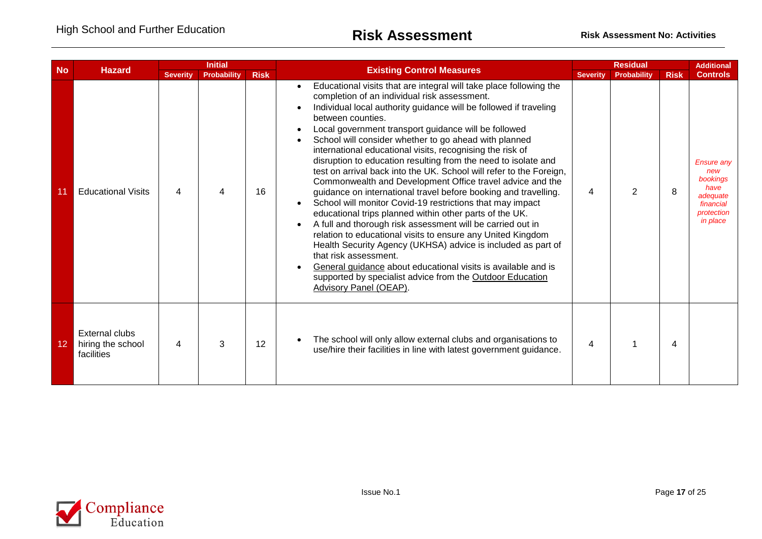| <b>No</b> |                                                          |                 | <b>Initial</b> |             | <b>Residual</b><br><b>Existing Control Measures</b><br><b>Severity</b><br><b>Probability</b>                                                                                                                                                                                                                                                                                                                                                                                                                                                                                                                                                                                                                                                                                                                                                                                                                                                                                                                                                                                                                                                                                     |   |             |                 | <b>Additional</b>                                                                               |
|-----------|----------------------------------------------------------|-----------------|----------------|-------------|----------------------------------------------------------------------------------------------------------------------------------------------------------------------------------------------------------------------------------------------------------------------------------------------------------------------------------------------------------------------------------------------------------------------------------------------------------------------------------------------------------------------------------------------------------------------------------------------------------------------------------------------------------------------------------------------------------------------------------------------------------------------------------------------------------------------------------------------------------------------------------------------------------------------------------------------------------------------------------------------------------------------------------------------------------------------------------------------------------------------------------------------------------------------------------|---|-------------|-----------------|-------------------------------------------------------------------------------------------------|
|           | <b>Hazard</b>                                            | <b>Severity</b> | Probability    | <b>Risk</b> |                                                                                                                                                                                                                                                                                                                                                                                                                                                                                                                                                                                                                                                                                                                                                                                                                                                                                                                                                                                                                                                                                                                                                                                  |   | <b>Risk</b> | <b>Controls</b> |                                                                                                 |
|           | <b>Educational Visits</b>                                | 4               | 4              | 16          | Educational visits that are integral will take place following the<br>completion of an individual risk assessment.<br>Individual local authority guidance will be followed if traveling<br>between counties.<br>Local government transport guidance will be followed<br>School will consider whether to go ahead with planned<br>international educational visits, recognising the risk of<br>disruption to education resulting from the need to isolate and<br>test on arrival back into the UK. School will refer to the Foreign,<br>Commonwealth and Development Office travel advice and the<br>guidance on international travel before booking and travelling.<br>School will monitor Covid-19 restrictions that may impact<br>educational trips planned within other parts of the UK.<br>A full and thorough risk assessment will be carried out in<br>relation to educational visits to ensure any United Kingdom<br>Health Security Agency (UKHSA) advice is included as part of<br>that risk assessment.<br>General guidance about educational visits is available and is<br>supported by specialist advice from the Outdoor Education<br><b>Advisory Panel (OEAP).</b> | 4 | 2           | 8               | <b>Ensure any</b><br>new<br>bookings<br>have<br>adequate<br>financial<br>protection<br>in place |
| 12        | <b>External clubs</b><br>hiring the school<br>facilities | 4               | 3              | 12          | The school will only allow external clubs and organisations to<br>use/hire their facilities in line with latest government guidance.                                                                                                                                                                                                                                                                                                                                                                                                                                                                                                                                                                                                                                                                                                                                                                                                                                                                                                                                                                                                                                             | 4 |             | 4               |                                                                                                 |

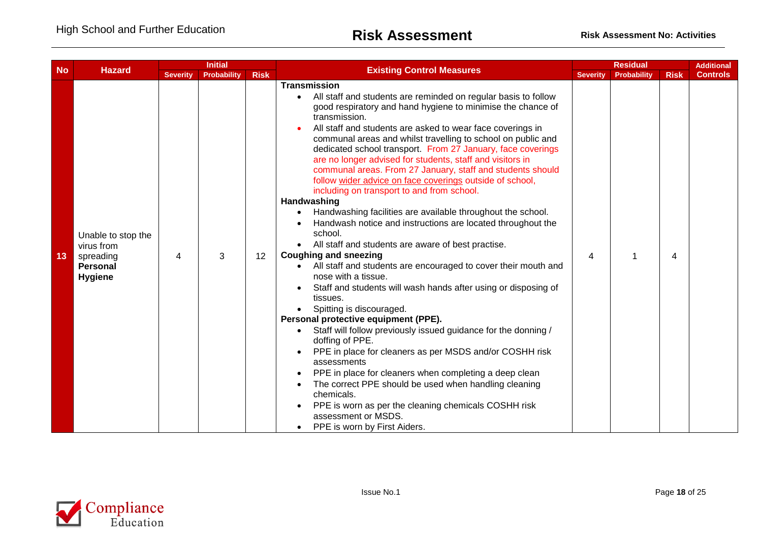|           | <b>Initial</b><br><b>Hazard</b>                                                    |                 |                    |             |                                                                                                                                                                                                                                                                                                                                                                                                                                                                                                                                                                                                                                                                                                                                                                                                                                                                                                                                                                                                                                                                                                                                                                                                                                                                                                                                                                                                                                                                                                                 | <b>Residual</b><br><b>Additional</b> |             |             |                 |
|-----------|------------------------------------------------------------------------------------|-----------------|--------------------|-------------|-----------------------------------------------------------------------------------------------------------------------------------------------------------------------------------------------------------------------------------------------------------------------------------------------------------------------------------------------------------------------------------------------------------------------------------------------------------------------------------------------------------------------------------------------------------------------------------------------------------------------------------------------------------------------------------------------------------------------------------------------------------------------------------------------------------------------------------------------------------------------------------------------------------------------------------------------------------------------------------------------------------------------------------------------------------------------------------------------------------------------------------------------------------------------------------------------------------------------------------------------------------------------------------------------------------------------------------------------------------------------------------------------------------------------------------------------------------------------------------------------------------------|--------------------------------------|-------------|-------------|-----------------|
| <b>No</b> |                                                                                    | <b>Severity</b> | <b>Probability</b> | <b>Risk</b> | <b>Existing Control Measures</b>                                                                                                                                                                                                                                                                                                                                                                                                                                                                                                                                                                                                                                                                                                                                                                                                                                                                                                                                                                                                                                                                                                                                                                                                                                                                                                                                                                                                                                                                                | <b>Severity</b>                      | Probability | <b>Risk</b> | <b>Controls</b> |
| 13        | Unable to stop the<br>virus from<br>spreading<br><b>Personal</b><br><b>Hygiene</b> | 4               | 3                  | 12          | <b>Transmission</b><br>All staff and students are reminded on regular basis to follow<br>good respiratory and hand hygiene to minimise the chance of<br>transmission.<br>All staff and students are asked to wear face coverings in<br>communal areas and whilst travelling to school on public and<br>dedicated school transport. From 27 January, face coverings<br>are no longer advised for students, staff and visitors in<br>communal areas. From 27 January, staff and students should<br>follow wider advice on face coverings outside of school,<br>including on transport to and from school.<br>Handwashing<br>Handwashing facilities are available throughout the school.<br>Handwash notice and instructions are located throughout the<br>school.<br>All staff and students are aware of best practise.<br><b>Coughing and sneezing</b><br>All staff and students are encouraged to cover their mouth and<br>nose with a tissue.<br>Staff and students will wash hands after using or disposing of<br>tissues.<br>Spitting is discouraged.<br>Personal protective equipment (PPE).<br>Staff will follow previously issued guidance for the donning /<br>doffing of PPE.<br>PPE in place for cleaners as per MSDS and/or COSHH risk<br>assessments<br>PPE in place for cleaners when completing a deep clean<br>The correct PPE should be used when handling cleaning<br>chemicals.<br>PPE is worn as per the cleaning chemicals COSHH risk<br>assessment or MSDS.<br>PPE is worn by First Aiders. | 4                                    |             | 4           |                 |

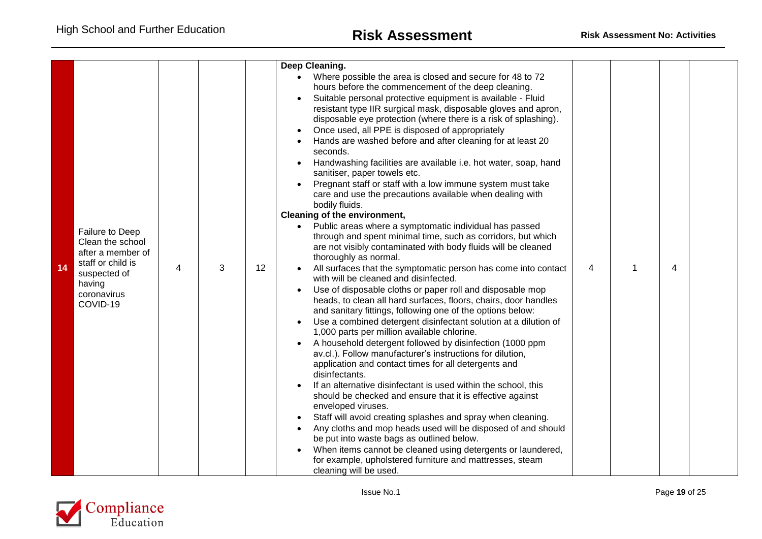|    |                                                                                                                                    |   |   |                   | Deep Cleaning.<br>Where possible the area is closed and secure for 48 to 72<br>hours before the commencement of the deep cleaning.<br>Suitable personal protective equipment is available - Fluid<br>resistant type IIR surgical mask, disposable gloves and apron,<br>disposable eye protection (where there is a risk of splashing).<br>Once used, all PPE is disposed of appropriately                                                                                                                                                                                                                                                                                                                                                                                                                                                                                                                                                                                                                                                                                                                                                                                                                                                                                                                                                                                                                                                                                                                                                                                                                                                                                                       |                |   |  |
|----|------------------------------------------------------------------------------------------------------------------------------------|---|---|-------------------|-------------------------------------------------------------------------------------------------------------------------------------------------------------------------------------------------------------------------------------------------------------------------------------------------------------------------------------------------------------------------------------------------------------------------------------------------------------------------------------------------------------------------------------------------------------------------------------------------------------------------------------------------------------------------------------------------------------------------------------------------------------------------------------------------------------------------------------------------------------------------------------------------------------------------------------------------------------------------------------------------------------------------------------------------------------------------------------------------------------------------------------------------------------------------------------------------------------------------------------------------------------------------------------------------------------------------------------------------------------------------------------------------------------------------------------------------------------------------------------------------------------------------------------------------------------------------------------------------------------------------------------------------------------------------------------------------|----------------|---|--|
| 14 | Failure to Deep<br>Clean the school<br>after a member of<br>staff or child is<br>suspected of<br>having<br>coronavirus<br>COVID-19 | 4 | 3 | $12 \overline{ }$ | Hands are washed before and after cleaning for at least 20<br>seconds.<br>Handwashing facilities are available i.e. hot water, soap, hand<br>sanitiser, paper towels etc.<br>Pregnant staff or staff with a low immune system must take<br>care and use the precautions available when dealing with<br>bodily fluids.<br>Cleaning of the environment,<br>• Public areas where a symptomatic individual has passed<br>through and spent minimal time, such as corridors, but which<br>are not visibly contaminated with body fluids will be cleaned<br>thoroughly as normal.<br>All surfaces that the symptomatic person has come into contact<br>with will be cleaned and disinfected.<br>Use of disposable cloths or paper roll and disposable mop<br>heads, to clean all hard surfaces, floors, chairs, door handles<br>and sanitary fittings, following one of the options below:<br>Use a combined detergent disinfectant solution at a dilution of<br>1,000 parts per million available chlorine.<br>A household detergent followed by disinfection (1000 ppm<br>av.cl.). Follow manufacturer's instructions for dilution,<br>application and contact times for all detergents and<br>disinfectants.<br>If an alternative disinfectant is used within the school, this<br>should be checked and ensure that it is effective against<br>enveloped viruses.<br>Staff will avoid creating splashes and spray when cleaning.<br>Any cloths and mop heads used will be disposed of and should<br>be put into waste bags as outlined below.<br>When items cannot be cleaned using detergents or laundered,<br>for example, upholstered furniture and mattresses, steam<br>cleaning will be used. | $\overline{4}$ | 4 |  |

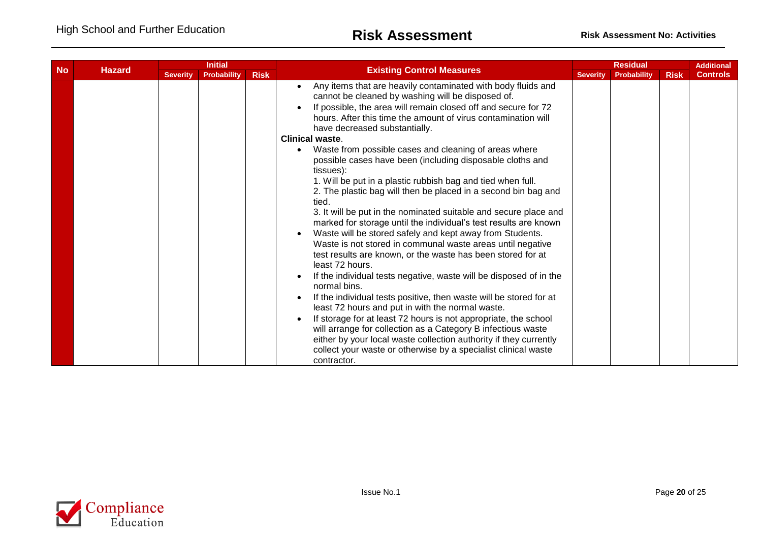| <b>No</b> |               |                 | <b>Initial</b>     |             |                                                                                                                                                                                                                                                                                                                                                                                                                                                                                                                                                                                                                                                                                                                                                                                                                                                                                                                                                                                                                                                                                                                                                                                                                                                                                                                                                                                                                                                           |                 | <b>Residual</b> |             | <b>Additional</b> |
|-----------|---------------|-----------------|--------------------|-------------|-----------------------------------------------------------------------------------------------------------------------------------------------------------------------------------------------------------------------------------------------------------------------------------------------------------------------------------------------------------------------------------------------------------------------------------------------------------------------------------------------------------------------------------------------------------------------------------------------------------------------------------------------------------------------------------------------------------------------------------------------------------------------------------------------------------------------------------------------------------------------------------------------------------------------------------------------------------------------------------------------------------------------------------------------------------------------------------------------------------------------------------------------------------------------------------------------------------------------------------------------------------------------------------------------------------------------------------------------------------------------------------------------------------------------------------------------------------|-----------------|-----------------|-------------|-------------------|
|           | <b>Hazard</b> | <b>Severity</b> | <b>Probability</b> | <b>Risk</b> | <b>Existing Control Measures</b>                                                                                                                                                                                                                                                                                                                                                                                                                                                                                                                                                                                                                                                                                                                                                                                                                                                                                                                                                                                                                                                                                                                                                                                                                                                                                                                                                                                                                          | <b>Severity</b> | Probability     | <b>Risk</b> | <b>Controls</b>   |
|           |               |                 |                    |             | Any items that are heavily contaminated with body fluids and<br>cannot be cleaned by washing will be disposed of.<br>If possible, the area will remain closed off and secure for 72<br>hours. After this time the amount of virus contamination will<br>have decreased substantially.<br><b>Clinical waste.</b><br>Waste from possible cases and cleaning of areas where<br>possible cases have been (including disposable cloths and<br>tissues):<br>1. Will be put in a plastic rubbish bag and tied when full.<br>2. The plastic bag will then be placed in a second bin bag and<br>tied.<br>3. It will be put in the nominated suitable and secure place and<br>marked for storage until the individual's test results are known<br>Waste will be stored safely and kept away from Students.<br>Waste is not stored in communal waste areas until negative<br>test results are known, or the waste has been stored for at<br>least 72 hours.<br>If the individual tests negative, waste will be disposed of in the<br>normal bins.<br>If the individual tests positive, then waste will be stored for at<br>least 72 hours and put in with the normal waste.<br>If storage for at least 72 hours is not appropriate, the school<br>will arrange for collection as a Category B infectious waste<br>either by your local waste collection authority if they currently<br>collect your waste or otherwise by a specialist clinical waste<br>contractor. |                 |                 |             |                   |

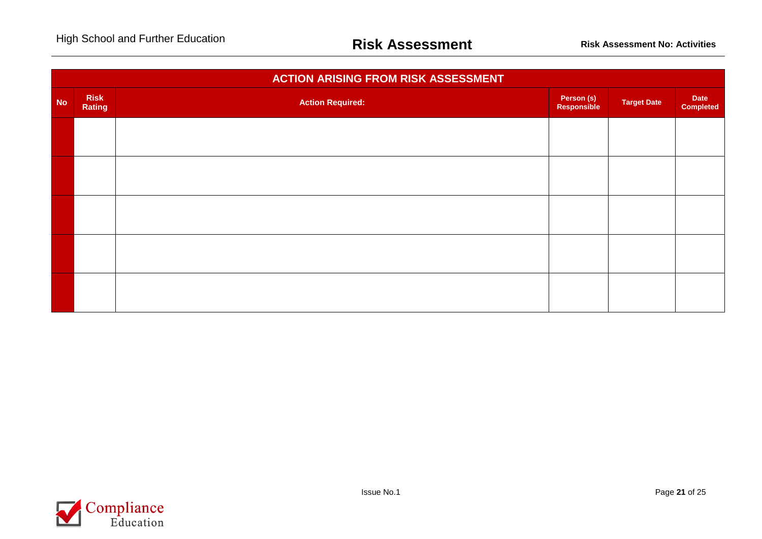|           |                       | <b>ACTION ARISING FROM RISK ASSESSMENT</b> |                           |                    |                          |
|-----------|-----------------------|--------------------------------------------|---------------------------|--------------------|--------------------------|
| <b>No</b> | <b>Risk</b><br>Rating | <b>Action Required:</b>                    | Person (s)<br>Responsible | <b>Target Date</b> | Date<br><b>Completed</b> |
|           |                       |                                            |                           |                    |                          |
|           |                       |                                            |                           |                    |                          |
|           |                       |                                            |                           |                    |                          |
|           |                       |                                            |                           |                    |                          |
|           |                       |                                            |                           |                    |                          |
|           |                       |                                            |                           |                    |                          |

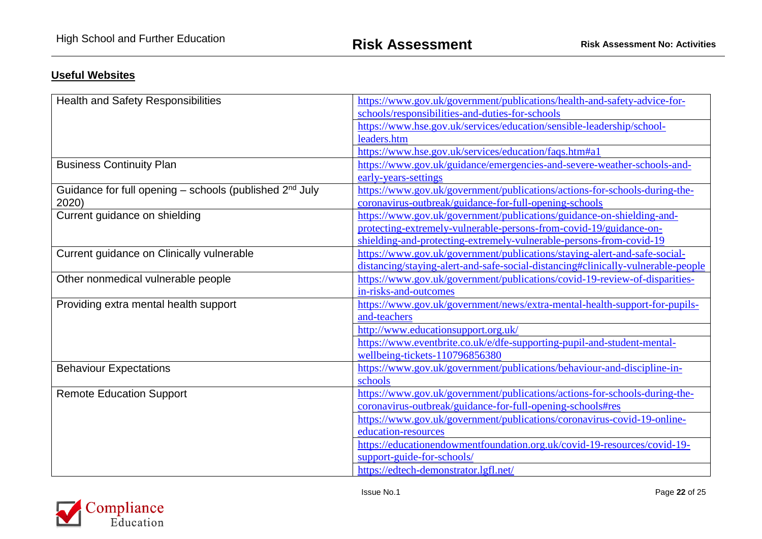## **Useful Websites**

| <b>Health and Safety Responsibilities</b>                           | https://www.gov.uk/government/publications/health-and-safety-advice-for-         |
|---------------------------------------------------------------------|----------------------------------------------------------------------------------|
|                                                                     | schools/responsibilities-and-duties-for-schools                                  |
|                                                                     | https://www.hse.gov.uk/services/education/sensible-leadership/school-            |
|                                                                     | leaders.htm                                                                      |
|                                                                     | https://www.hse.gov.uk/services/education/faqs.htm#a1                            |
| <b>Business Continuity Plan</b>                                     | https://www.gov.uk/guidance/emergencies-and-severe-weather-schools-and-          |
|                                                                     | early-years-settings                                                             |
| Guidance for full opening - schools (published 2 <sup>nd</sup> July | https://www.gov.uk/government/publications/actions-for-schools-during-the-       |
| 2020)                                                               | coronavirus-outbreak/guidance-for-full-opening-schools                           |
| Current guidance on shielding                                       | https://www.gov.uk/government/publications/guidance-on-shielding-and-            |
|                                                                     | protecting-extremely-vulnerable-persons-from-covid-19/guidance-on-               |
|                                                                     | shielding-and-protecting-extremely-vulnerable-persons-from-covid-19              |
| Current guidance on Clinically vulnerable                           | https://www.gov.uk/government/publications/staying-alert-and-safe-social-        |
|                                                                     | distancing/staying-alert-and-safe-social-distancing#clinically-vulnerable-people |
| Other nonmedical vulnerable people                                  | https://www.gov.uk/government/publications/covid-19-review-of-disparities-       |
|                                                                     | in-risks-and-outcomes                                                            |
| Providing extra mental health support                               | https://www.gov.uk/government/news/extra-mental-health-support-for-pupils-       |
|                                                                     | and-teachers                                                                     |
|                                                                     | http://www.educationsupport.org.uk/                                              |
|                                                                     | https://www.eventbrite.co.uk/e/dfe-supporting-pupil-and-student-mental-          |
|                                                                     | wellbeing-tickets-110796856380                                                   |
| <b>Behaviour Expectations</b>                                       | https://www.gov.uk/government/publications/behaviour-and-discipline-in-          |
|                                                                     | schools                                                                          |
| <b>Remote Education Support</b>                                     | https://www.gov.uk/government/publications/actions-for-schools-during-the-       |
|                                                                     | coronavirus-outbreak/guidance-for-full-opening-schools#res                       |
|                                                                     | https://www.gov.uk/government/publications/coronavirus-covid-19-online-          |
|                                                                     | education-resources                                                              |
|                                                                     | https://educationendowmentfoundation.org.uk/covid-19-resources/covid-19-         |
|                                                                     | support-guide-for-schools/                                                       |
|                                                                     | https://edtech-demonstrator.lgfl.net/                                            |

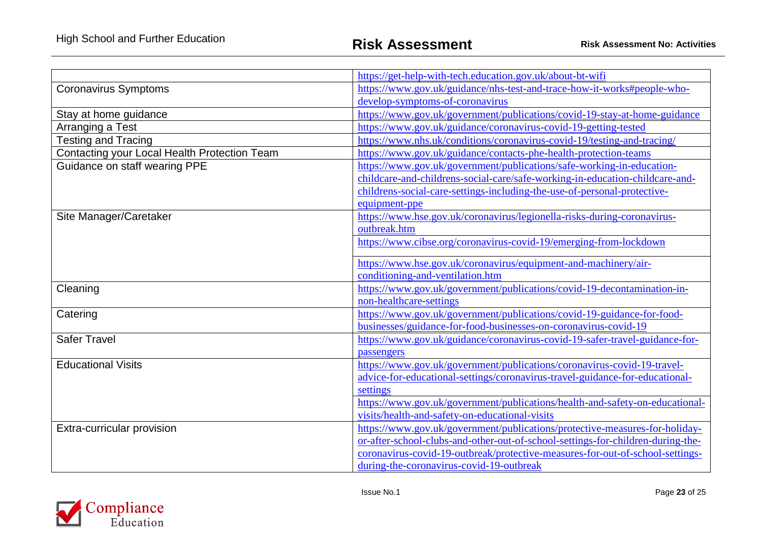|                                              | https://get-help-with-tech.education.gov.uk/about-bt-wifi                                           |  |  |
|----------------------------------------------|-----------------------------------------------------------------------------------------------------|--|--|
| <b>Coronavirus Symptoms</b>                  | https://www.gov.uk/guidance/nhs-test-and-trace-how-it-works#people-who-                             |  |  |
|                                              | develop-symptoms-of-coronavirus                                                                     |  |  |
| Stay at home guidance                        | https://www.gov.uk/government/publications/covid-19-stay-at-home-guidance                           |  |  |
| Arranging a Test                             | https://www.gov.uk/guidance/coronavirus-covid-19-getting-tested                                     |  |  |
| <b>Testing and Tracing</b>                   | https://www.nhs.uk/conditions/coronavirus-covid-19/testing-and-tracing/                             |  |  |
| Contacting your Local Health Protection Team | https://www.gov.uk/guidance/contacts-phe-health-protection-teams                                    |  |  |
| Guidance on staff wearing PPE                | https://www.gov.uk/government/publications/safe-working-in-education-                               |  |  |
|                                              | childcare-and-childrens-social-care/safe-working-in-education-childcare-and-                        |  |  |
|                                              | childrens-social-care-settings-including-the-use-of-personal-protective-                            |  |  |
|                                              | equipment-ppe                                                                                       |  |  |
| Site Manager/Caretaker                       | https://www.hse.gov.uk/coronavirus/legionella-risks-during-coronavirus-                             |  |  |
|                                              | outbreak.htm                                                                                        |  |  |
|                                              | https://www.cibse.org/coronavirus-covid-19/emerging-from-lockdown                                   |  |  |
|                                              |                                                                                                     |  |  |
|                                              | https://www.hse.gov.uk/coronavirus/equipment-and-machinery/air-<br>conditioning-and-ventilation.htm |  |  |
| Cleaning                                     | https://www.gov.uk/government/publications/covid-19-decontamination-in-                             |  |  |
|                                              | non-healthcare-settings                                                                             |  |  |
| Catering                                     | https://www.gov.uk/government/publications/covid-19-guidance-for-food-                              |  |  |
|                                              | businesses/guidance-for-food-businesses-on-coronavirus-covid-19                                     |  |  |
| <b>Safer Travel</b>                          | https://www.gov.uk/guidance/coronavirus-covid-19-safer-travel-guidance-for-                         |  |  |
|                                              | passengers                                                                                          |  |  |
| <b>Educational Visits</b>                    | https://www.gov.uk/government/publications/coronavirus-covid-19-travel-                             |  |  |
|                                              | advice-for-educational-settings/coronavirus-travel-guidance-for-educational-                        |  |  |
|                                              | settings                                                                                            |  |  |
|                                              | https://www.gov.uk/government/publications/health-and-safety-on-educational-                        |  |  |
|                                              | visits/health-and-safety-on-educational-visits                                                      |  |  |
| Extra-curricular provision                   | https://www.gov.uk/government/publications/protective-measures-for-holiday-                         |  |  |
|                                              | or-after-school-clubs-and-other-out-of-school-settings-for-children-during-the-                     |  |  |
|                                              | coronavirus-covid-19-outbreak/protective-measures-for-out-of-school-settings-                       |  |  |
|                                              | during-the-coronavirus-covid-19-outbreak                                                            |  |  |

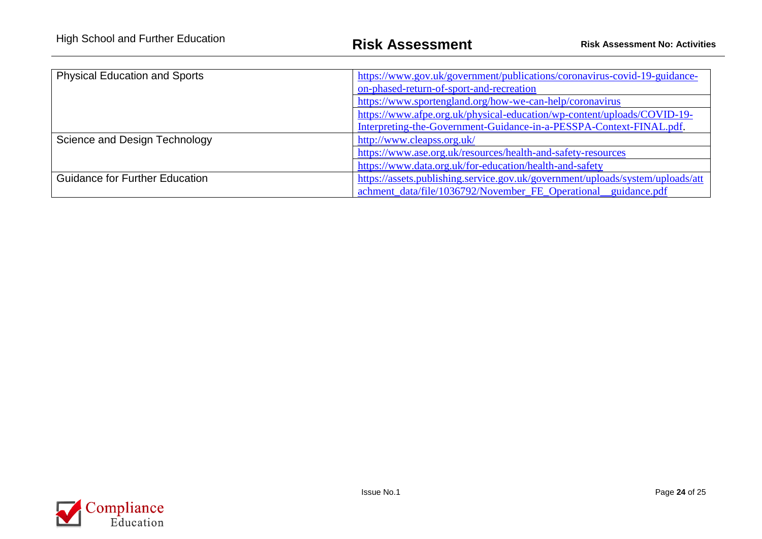| <b>Physical Education and Sports</b>  | https://www.gov.uk/government/publications/coronavirus-covid-19-guidance-      |  |  |  |  |
|---------------------------------------|--------------------------------------------------------------------------------|--|--|--|--|
|                                       | on-phased-return-of-sport-and-recreation                                       |  |  |  |  |
|                                       | https://www.sportengland.org/how-we-can-help/coronavirus                       |  |  |  |  |
|                                       | https://www.afpe.org.uk/physical-education/wp-content/uploads/COVID-19-        |  |  |  |  |
|                                       | Interpreting-the-Government-Guidance-in-a-PESSPA-Context-FINAL.pdf.            |  |  |  |  |
| Science and Design Technology         | http://www.cleapss.org.uk/                                                     |  |  |  |  |
|                                       | https://www.ase.org.uk/resources/health-and-safety-resources                   |  |  |  |  |
|                                       | https://www.data.org.uk/for-education/health-and-safety                        |  |  |  |  |
| <b>Guidance for Further Education</b> | https://assets.publishing.service.gov.uk/government/uploads/system/uploads/att |  |  |  |  |
|                                       | achment_data/file/1036792/November_FE_Operational_guidance.pdf                 |  |  |  |  |